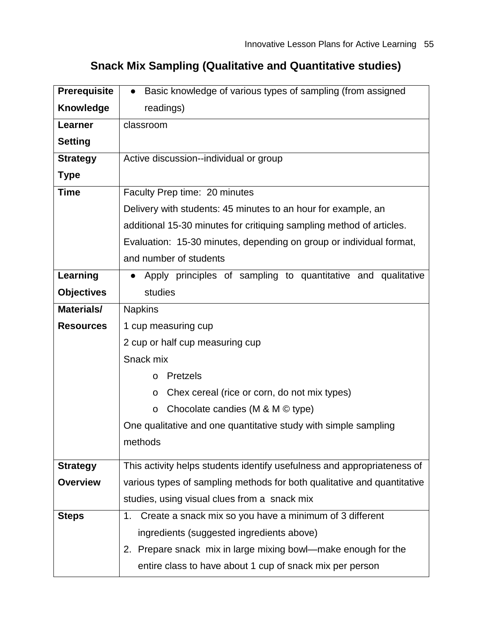| <b>Prerequisite</b> | Basic knowledge of various types of sampling (from assigned<br>$\bullet$ |  |  |  |
|---------------------|--------------------------------------------------------------------------|--|--|--|
| <b>Knowledge</b>    | readings)                                                                |  |  |  |
| Learner             | classroom                                                                |  |  |  |
| <b>Setting</b>      |                                                                          |  |  |  |
| <b>Strategy</b>     | Active discussion--individual or group                                   |  |  |  |
| <b>Type</b>         |                                                                          |  |  |  |
| <b>Time</b>         | Faculty Prep time: 20 minutes                                            |  |  |  |
|                     | Delivery with students: 45 minutes to an hour for example, an            |  |  |  |
|                     | additional 15-30 minutes for critiquing sampling method of articles.     |  |  |  |
|                     | Evaluation: 15-30 minutes, depending on group or individual format,      |  |  |  |
|                     | and number of students                                                   |  |  |  |
| Learning            | Apply principles of sampling to quantitative and qualitative             |  |  |  |
| <b>Objectives</b>   | studies                                                                  |  |  |  |
| Materials/          | <b>Napkins</b>                                                           |  |  |  |
| <b>Resources</b>    | 1 cup measuring cup                                                      |  |  |  |
|                     | 2 cup or half cup measuring cup                                          |  |  |  |
|                     | Snack mix                                                                |  |  |  |
|                     | <b>Pretzels</b><br>$\circ$                                               |  |  |  |
|                     | Chex cereal (rice or corn, do not mix types)<br>$\circ$                  |  |  |  |
|                     | Chocolate candies (M & M $\odot$ type)<br>$\circ$                        |  |  |  |
|                     | One qualitative and one quantitative study with simple sampling          |  |  |  |
|                     | methods                                                                  |  |  |  |
| <b>Strategy</b>     | This activity helps students identify usefulness and appropriateness of  |  |  |  |
| <b>Overview</b>     | various types of sampling methods for both qualitative and quantitative  |  |  |  |
|                     | studies, using visual clues from a snack mix                             |  |  |  |
| <b>Steps</b>        | Create a snack mix so you have a minimum of 3 different<br>1.            |  |  |  |
|                     | ingredients (suggested ingredients above)                                |  |  |  |
|                     | 2. Prepare snack mix in large mixing bowl—make enough for the            |  |  |  |
|                     | entire class to have about 1 cup of snack mix per person                 |  |  |  |

## **Snack Mix Sampling (Qualitative and Quantitative studies)**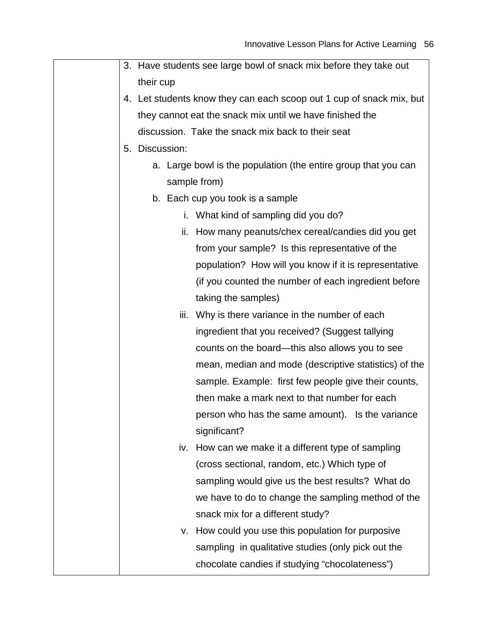|  |                | 3. Have students see large bowl of snack mix before they take out    |
|--|----------------|----------------------------------------------------------------------|
|  | their cup      |                                                                      |
|  |                | 4. Let students know they can each scoop out 1 cup of snack mix, but |
|  |                | they cannot eat the snack mix until we have finished the             |
|  |                | discussion. Take the snack mix back to their seat                    |
|  | 5. Discussion: |                                                                      |
|  |                | a. Large bowl is the population (the entire group that you can       |
|  |                | sample from)                                                         |
|  |                | b. Each cup you took is a sample                                     |
|  |                | i. What kind of sampling did you do?                                 |
|  |                | ii. How many peanuts/chex cereal/candies did you get                 |
|  |                | from your sample? Is this representative of the                      |
|  |                | population? How will you know if it is representative                |
|  |                | (if you counted the number of each ingredient before                 |
|  |                | taking the samples)                                                  |
|  |                | iii. Why is there variance in the number of each                     |
|  |                | ingredient that you received? (Suggest tallying                      |
|  |                | counts on the board—this also allows you to see                      |
|  |                | mean, median and mode (descriptive statistics) of the                |
|  |                | sample. Example: first few people give their counts,                 |
|  |                | then make a mark next to that number for each                        |
|  |                | person who has the same amount). Is the variance                     |
|  |                | significant?                                                         |
|  | IV.            | How can we make it a different type of sampling                      |
|  |                | (cross sectional, random, etc.) Which type of                        |
|  |                | sampling would give us the best results? What do                     |
|  |                | we have to do to change the sampling method of the                   |
|  |                | snack mix for a different study?                                     |
|  |                | v. How could you use this population for purposive                   |
|  |                | sampling in qualitative studies (only pick out the                   |
|  |                | chocolate candies if studying "chocolateness")                       |